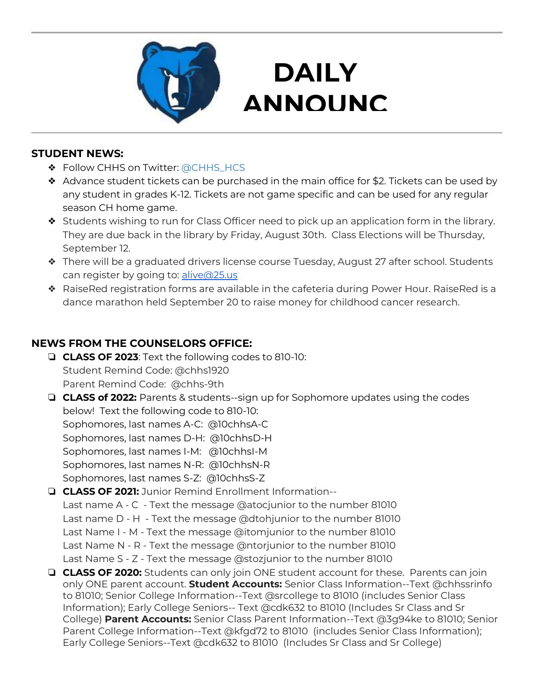

### **DAILY ANNOUNC**

**EMENTS AND STRUCTURE** 

#### **STUDENT NEWS:**

- ❖ Follow CHHS on Twitter: [@CHHS\\_HCS](https://twitter.com/CHHS_HCS)
- ❖ Advance student tickets can be purchased in the main office for \$2. Tickets can be used by any student in grades K-12. Tickets are not game specific and can be used for any regular season CH home game.
- ❖ Students wishing to run for Class Officer need to pick up an application form in the library. They are due back in the library by Friday, August 30th. Class Elections will be Thursday, September 12.
- ❖ There will be a graduated drivers license course Tuesday, August 27 after school. Students can register by going to: [alive@25.us](mailto:alive@25.us)
- ❖ RaiseRed registration forms are available in the cafeteria during Power Hour. RaiseRed is a dance marathon held September 20 to raise money for childhood cancer research.

### **NEWS FROM THE COUNSELORS OFFICE:**

- ❏ **CLASS OF 2023**: Text the following codes to 810-10: Student Remind Code: @chhs1920 Parent Remind Code: @chhs-9th
- ❏ **CLASS of 2022:** Parents & students--sign up for Sophomore updates using the codes below! Text the following code to 810-10: Sophomores, last names A-C: @10chhsA-C Sophomores, last names D-H: @10chhsD-H Sophomores, last names I-M: @10chhsI-M Sophomores, last names N-R: @10chhsN-R Sophomores, last names S-Z: @10chhsS-Z
- ❏ **CLASS OF 2021:** Junior Remind Enrollment Information-- Last name A - C - Text the message @atocjunior to the number 81010 Last name D - H - Text the message @dtohjunior to the number 81010 Last Name I - M - Text the message @itomjunior to the number 81010 Last Name N - R - Text the message @ntorjunior to the number 81010 Last Name S - Z - Text the message @stozjunior to the number 81010
- ❏ **CLASS OF 2020:** Students can only join ONE student account for these. Parents can join only ONE parent account. **Student Accounts:** Senior Class Information--Text @chhssrinfo to 81010; Senior College Information--Text @srcollege to 81010 (includes Senior Class Information); Early College Seniors-- Text @cdk632 to 81010 (Includes Sr Class and Sr College) **Parent Accounts:** Senior Class Parent Information--Text @3g94ke to 81010; Senior Parent College Information--Text @kfgd72 to 81010 (includes Senior Class Information); Early College Seniors--Text @cdk632 to 81010 (Includes Sr Class and Sr College)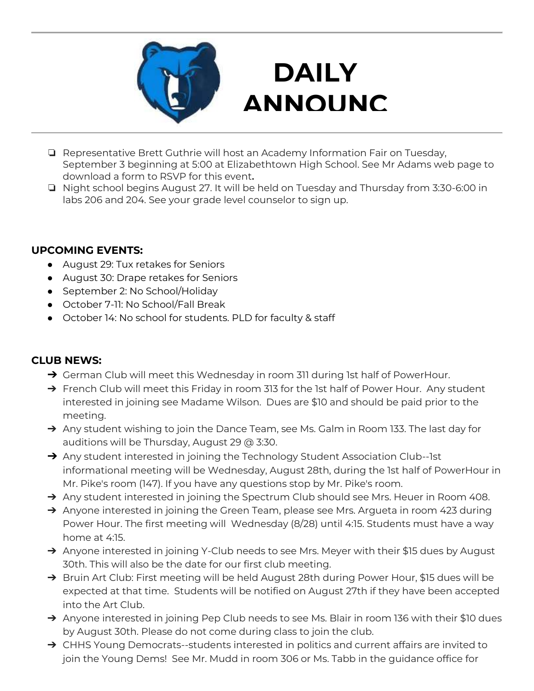

# **DAILY ANNOUNC**

- **EMENTS** ❏ Representative Brett Guthrie will host an Academy Information Fair on Tuesday, September 3 beginning at 5:00 at Elizabethtown High School. See Mr Adams web page to download a form to RSVP for this event**.**
- ❏ Night school begins August 27. It will be held on Tuesday and Thursday from 3:30-6:00 in labs 206 and 204. See your grade level counselor to sign up.

#### **UPCOMING EVENTS:**

- August 29: Tux retakes for Seniors
- August 30: Drape retakes for Seniors
- September 2: No School/Holiday
- October 7-11: No School/Fall Break
- October 14: No school for students. PLD for faculty & staff

#### **CLUB NEWS:**

- → German Club will meet this Wednesday in room 311 during 1st half of PowerHour.
- → French Club will meet this Friday in room 313 for the 1st half of Power Hour. Any student interested in joining see Madame Wilson. Dues are \$10 and should be paid prior to the meeting.
- → Any student wishing to join the Dance Team, see Ms. Galm in Room 133. The last day for auditions will be Thursday, August 29 @ 3:30.
- → Any student interested in joining the Technology Student Association Club--1st informational meeting will be Wednesday, August 28th, during the 1st half of PowerHour in Mr. Pike's room (147). If you have any questions stop by Mr. Pike's room.
- → Any student interested in joining the Spectrum Club should see Mrs. Heuer in Room 408.
- → Anyone interested in joining the Green Team, please see Mrs. Argueta in room 423 during Power Hour. The first meeting will Wednesday (8/28) until 4:15. Students must have a way home at 4:15.
- → Anyone interested in joining Y-Club needs to see Mrs. Meyer with their \$15 dues by August 30th. This will also be the date for our first club meeting.
- → Bruin Art Club: First meeting will be held August 28th during Power Hour, \$15 dues will be expected at that time. Students will be notified on August 27th if they have been accepted into the Art Club.
- → Anyone interested in joining Pep Club needs to see Ms. Blair in room 136 with their \$10 dues by August 30th. Please do not come during class to join the club.
- → CHHS Young Democrats--students interested in politics and current affairs are invited to join the Young Dems! See Mr. Mudd in room 306 or Ms. Tabb in the guidance office for